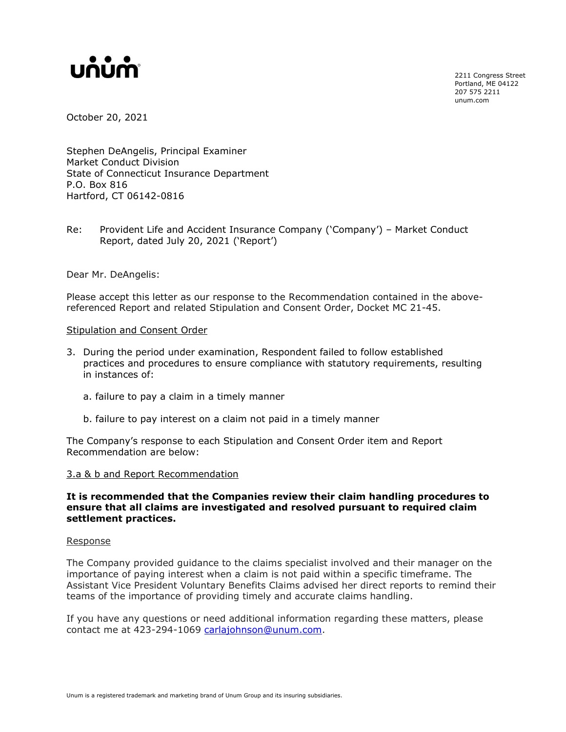# unum

2211 Congress Street Portland, ME 04122 207 575 2211 unum.com

October 20, 2021

Stephen DeAngelis, Principal Examiner Market Conduct Division State of Connecticut Insurance Department P.O. Box 816 Hartford, CT 06142-0816

Re: Provident Life and Accident Insurance Company ('Company') – Market Conduct Report, dated July 20, 2021 ('Report')

Dear Mr. DeAngelis:

Please accept this letter as our response to the Recommendation contained in the abovereferenced Report and related Stipulation and Consent Order, Docket MC 21-45.

# Stipulation and Consent Order

- 3. During the period under examination, Respondent failed to follow established practices and procedures to ensure compliance with statutory requirements, resulting in instances of:
	- a. failure to pay a claim in a timely manner
	- b. failure to pay interest on a claim not paid in a timely manner

The Company's response to each Stipulation and Consent Order item and Report Recommendation are below:

# 3.a & b and Report Recommendation

# **It is recommended that the Companies review their claim handling procedures to ensure that all claims are investigated and resolved pursuant to required claim settlement practices.**

#### Response

The Company provided guidance to the claims specialist involved and their manager on the importance of paying interest when a claim is not paid within a specific timeframe. The Assistant Vice President Voluntary Benefits Claims advised her direct reports to remind their teams of the importance of providing timely and accurate claims handling.

If you have any questions or need additional information regarding these matters, please contact me at 423-294-1069 [carlajohnson@unum.com.](mailto:carlajohnson@unum.com)